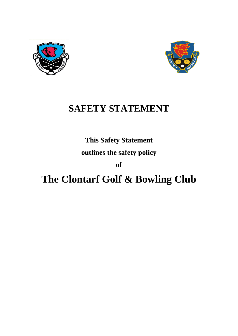



# **SAFETY STATEMENT**

**This Safety Statement**

**outlines the safety policy**

**of** 

# **The Clontarf Golf & Bowling Club**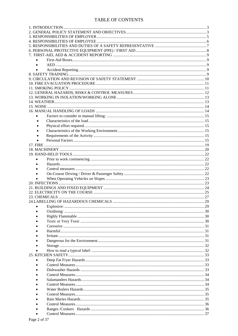#### **TABLE OF CONTENTS**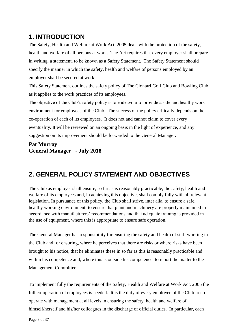# <span id="page-2-0"></span>**1. INTRODUCTION**

The Safety, Health and Welfare at Work Act, 2005 deals with the protection of the safety, health and welfare of all persons at work. The Act requires that every employer shall prepare in writing, a statement, to be known as a Safety Statement. The Safety Statement should specify the manner in which the safety, health and welfare of persons employed by an employer shall be secured at work.

This Safety Statement outlines the safety policy of The Clontarf Golf Club and Bowling Club as it applies to the work practices of its employees.

The objective of the Club's safety policy is to endeavour to provide a safe and healthy work environment for employees of the Club. The success of the policy critically depends on the co-operation of each of its employees. It does not and cannot claim to cover every eventuality. It will be reviewed on an ongoing basis in the light of experience, and any suggestion on its improvement should be forwarded to the General Manager.

### **Pat Murray General Manager - July 2018**

# <span id="page-2-1"></span>**2. GENERAL POLICY STATEMENT AND OBJECTIVES**

The Club as employer shall ensure, so far as is reasonably practicable, the safety, health and welfare of its employees and, in achieving this objective, shall comply fully with all relevant legislation. In pursuance of this policy, the Club shall strive, inter alia, to ensure a safe, healthy working environment; to ensure that plant and machinery are properly maintained in accordance with manufacturers' recommendations and that adequate training is provided in the use of equipment, where this is appropriate to ensure safe operation.

The General Manager has responsibility for ensuring the safety and health of staff working in the Club and for ensuring, where he perceives that there are risks or where risks have been brought to his notice, that he eliminates these in so far as this is reasonably practicable and within his competence and, where this is outside his competence, to report the matter to the Management Committee.

To implement fully the requirements of the Safety, Health and Welfare at Work Act, 2005 the full co-operation of employees is needed. It is the duty of every employee of the Club to cooperate with management at all levels in ensuring the safety, health and welfare of himself/herself and his/her colleagues in the discharge of official duties. In particular, each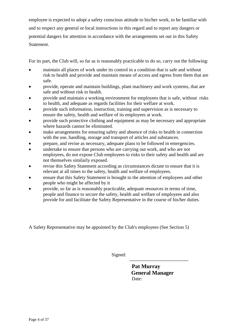employee is expected to adopt a safety conscious attitude to his/her work, to be familiar with and to respect any general or local instructions in this regard and to report any dangers or potential dangers for attention in accordance with the arrangements set out in this Safety Statement.

For its part, the Club will, so far as is reasonably practicable to do so, carry out the following:

- maintain all places of work under its control in a condition that is safe and without risk to health and provide and maintain means of access and egress from them that are safe.
- provide, operate and maintain buildings, plant machinery and work systems, that are safe and without risk to health.
- provide and maintain a working environment for employees that is safe, without risks to health, and adequate as regards facilities for their welfare at work.
- provide such information, instruction, training and supervision as is necessary to ensure the safety, health and welfare of its employees at work.
- provide such protective clothing and equipment as may be necessary and appropriate where hazards cannot be eliminated.
- make arrangements for ensuring safety and absence of risks to health in connection with the use, handling, storage and transport of articles and substances.
- prepare, and revise as necessary, adequate plans to be followed in emergencies.
- undertake to ensure that persons who are carrying out work, and who are not employees, do not expose Club employees to risks to their safety and health and are not themselves similarly exposed.
- revise this Safety Statement according as circumstances dictate to ensure that it is relevant at all times to the safety, health and welfare of employees.
- ensure that this Safety Statement is brought to the attention of employees and other people who might be affected by it
- provide, so far as is reasonably practicable, adequate resources in terms of time, people and finance to secure the safety, health and welfare of employees and also provide for and facilitate the Safety Representative in the course of his/her duties.

A Safety Representative may be appointed by the Club's employees (See Section 5)

Signed:

 ------------------------------------- **Pat Murray General Manager** Date: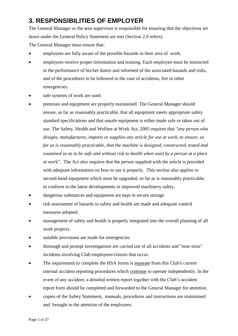# <span id="page-4-0"></span>**3. RESPONSIBILITIES OF EMPLOYER**

The General Manager or the area supervisor is responsible for ensuring that the objectives set down under the General Policy Statement are met (Section 2.0 refers).

The General Manager must ensure that:

- employees are fully aware of the possible hazards in their area of work.
- employees receive proper information and training. Each employee must be instructed in the performance of his/her duties and informed of the associated hazards and risks, and of the procedures to be followed in the case of accidents, fire or other emergencies.
- safe systems of work are used.
- premises and equipment are properly maintained. The General Manager should ensure, as far as reasonably practicable, that all equipment meets appropriate safety standard specifications and that unsafe equipment is either made safe or taken out of use. The Safety, Health and Welfare at Work Act, 2005 requires that *"any person who designs, manufactures, imports or supplies any article for use at work, to ensure, so far as is reasonably practicable, that the machine is designed, constructed, tested and examined so as to be safe and without risk to health when used by a person at a place at wor*k". The Act also requires that the person supplied with the article is provided with adequate information on how to use it properly. This section also applies to second-hand equipment which must be upgraded, so far as is reasonably practicable, to conform to the latest developments in improved machinery safety.
- dangerous substances and equipment are kept in secure storage.
- risk assessment of hazards to safety and health are made and adequate control measures adopted.
- management of safety and health is properly integrated into the overall planning of all work projects.
- suitable provisions are made for emergencies
- thorough and prompt investigations are carried out of all accidents and "near-miss" incidents involving Club employees/visitors that occur.
- The requirement to complete the HSA forms is separate from this Club's current internal accident reporting procedures which continue to operate independently. In the event of any accident, a detailed written report together with the Club's accident report form should be completed and forwarded to the General Manager for attention.
- copies of the Safety Statement, manuals, procedures and instructions are maintained and brought to the attention of the employees.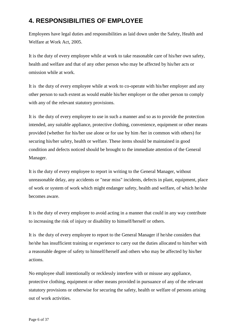# <span id="page-5-0"></span>**4. RESPONSIBILITIES OF EMPLOYEE**

Employees have legal duties and responsibilities as laid down under the Safety, Health and Welfare at Work Act, 2005.

It is the duty of every employee while at work to take reasonable care of his/her own safety, health and welfare and that of any other person who may be affected by his/her acts or omission while at work.

It is the duty of every employee while at work to co-operate with his/her employer and any other person to such extent as would enable his/her employer or the other person to comply with any of the relevant statutory provisions.

It is the duty of every employee to use in such a manner and so as to provide the protection intended, any suitable appliance, protective clothing, convenience, equipment or other means provided (whether for his/her use alone or for use by him /her in common with others) for securing his/her safety, health or welfare. These items should be maintained in good condition and defects noticed should be brought to the immediate attention of the General Manager.

It is the duty of every employee to report in writing to the General Manager, without unreasonable delay, any accidents or "near miss" incidents, defects in plant, equipment, place of work or system of work which might endanger safety, health and welfare, of which he/she becomes aware.

It is the duty of every employee to avoid acting in a manner that could in any way contribute to increasing the risk of injury or disability to himself/herself or others.

It is the duty of every employee to report to the General Manager if he/she considers that he/she has insufficient training or experience to carry out the duties allocated to him/her with a reasonable degree of safety to himself/herself and others who may be affected by his/her actions.

No employee shall intentionally or recklessly interfere with or misuse any appliance, protective clothing, equipment or other means provided in pursuance of any of the relevant statutory provisions or otherwise for securing the safety, health or welfare of persons arising out of work activities.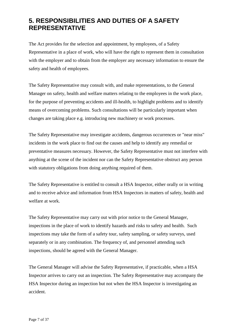# <span id="page-6-0"></span>**5. RESPONSIBILITIES AND DUTIES OF A SAFETY REPRESENTATIVE**

The Act provides for the selection and appointment, by employees, of a Safety Representative in a place of work, who will have the right to represent them in consultation with the employer and to obtain from the employer any necessary information to ensure the safety and health of employees.

The Safety Representative may consult with, and make representations, to the General Manager on safety, health and welfare matters relating to the employees in the work place, for the purpose of preventing accidents and ill-health, to highlight problems and to identify means of overcoming problems. Such consultations will be particularly important when changes are taking place e.g. introducing new machinery or work processes.

The Safety Representative may investigate accidents, dangerous occurrences or "near miss" incidents in the work place to find out the causes and help to identify any remedial or preventative measures necessary. However, the Safety Representative must not interfere with anything at the scene of the incident nor can the Safety Representative obstruct any person with statutory obligations from doing anything required of them.

The Safety Representative is entitled to consult a HSA Inspector, either orally or in writing and to receive advice and information from HSA Inspectors in matters of safety, health and welfare at work.

The Safety Representative may carry out with prior notice to the General Manager, inspections in the place of work to identify hazards and risks to safety and health. Such inspections may take the form of a safety tour, safety sampling, or safety surveys, used separately or in any combination. The frequency of, and personnel attending such inspections, should be agreed with the General Manager.

The General Manager will advise the Safety Representative, if practicable, when a HSA Inspector arrives to carry out an inspection. The Safety Representative may accompany the HSA Inspector during an inspection but not when the HSA Inspector is investigating an accident.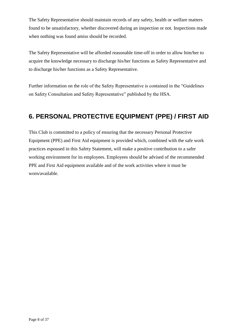The Safety Representative should maintain records of any safety, health or welfare matters found to be unsatisfactory, whether discovered during an inspection or not. Inspections made when nothing was found amiss should be recorded.

The Safety Representative will be afforded reasonable time-off in order to allow him/her to acquire the knowledge necessary to discharge his/her functions as Safety Representative and to discharge his/her functions as a Safety Representative.

Further information on the role of the Safety Representative is contained in the "Guidelines on Safety Consultation and Safety Representative" published by the HSA.

# <span id="page-7-0"></span>**6. PERSONAL PROTECTIVE EQUIPMENT (PPE) / FIRST AID**

This Club is committed to a policy of ensuring that the necessary Personal Protective Equipment (PPE) and First Aid equipment is provided which, combined with the safe work practices espoused in this Safety Statement, will make a positive contribution to a safer working environment for its employees. Employees should be advised of the recommended PPE and First Aid equipment available and of the work activities where it must be worn/available.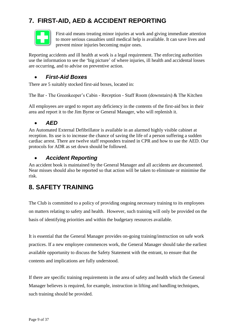# <span id="page-8-0"></span>**7. FIRST-AID, AED & ACCIDENT REPORTING**



First-aid means treating minor injuries at work and giving immediate attention to more serious casualties until medical help is available. It can save lives and prevent minor injuries becoming major ones.

Reporting accidents and ill health at work is a legal requirement. The enforcing authorities use the information to see the 'big picture' of where injuries, ill health and accidental losses are occurring, and to advise on preventive action.

### <span id="page-8-1"></span>*First-Aid Boxes*

There are 5 suitably stocked first-aid boxes, located in:

The Bar - The Greenkeeper's Cabin - Reception - Staff Room (downstairs) & The Kitchen

All employees are urged to report any deficiency in the contents of the first-aid box in their area and report it to the Jim Byrne or General Manager, who will replenish it.

### <span id="page-8-2"></span>*AED*

An Automated External Defibrillator is available in an alarmed highly visible cabinet at reception. Its use is to increase the chance of saving the life of a person suffering a sudden cardiac arrest. There are twelve staff responders trained in CPR and how to use the AED. Our protocols for ADR as set down should be followed.

### <span id="page-8-3"></span>*Accident Reporting*

An accident book is maintained by the General Manager and all accidents are documented. Near misses should also be reported so that action will be taken to eliminate or minimise the risk.

# <span id="page-8-4"></span>**8. SAFETY TRAINING**

The Club is committed to a policy of providing ongoing necessary training to its employees on matters relating to safety and health. However, such training will only be provided on the basis of identifying priorities and within the budgetary resources available.

It is essential that the General Manager provides on-going training/instruction on safe work practices. If a new employee commences work, the General Manager should take the earliest available opportunity to discuss the Safety Statement with the entrant, to ensure that the contents and implications are fully understood.

If there are specific training requirements in the area of safety and health which the General Manager believes is required, for example, instruction in lifting and handling techniques, such training should be provided.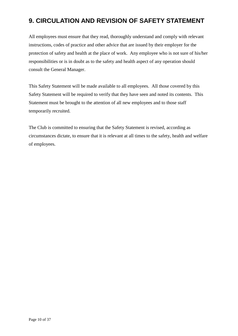# <span id="page-9-0"></span>**9. CIRCULATION AND REVISION OF SAFETY STATEMENT**

All employees must ensure that they read, thoroughly understand and comply with relevant instructions, codes of practice and other advice that are issued by their employer for the protection of safety and health at the place of work. Any employee who is not sure of his/her responsibilities or is in doubt as to the safety and health aspect of any operation should consult the General Manager.

This Safety Statement will be made available to all employees. All those covered by this Safety Statement will be required to verify that they have seen and noted its contents. This Statement must be brought to the attention of all new employees and to those staff temporarily recruited.

The Club is committed to ensuring that the Safety Statement is revised, according as circumstances dictate, to ensure that it is relevant at all times to the safety, health and welfare of employees.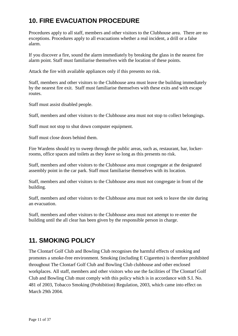# <span id="page-10-0"></span>**10. FIRE EVACUATION PROCEDURE**

Procedures apply to all staff, members and other visitors to the Clubhouse area. There are no exceptions. Procedures apply to all evacuations whether a real incident, a drill or a false alarm.

If you discover a fire, sound the alarm immediately by breaking the glass in the nearest fire alarm point. Staff must familiarise themselves with the location of these points.

Attack the fire with available appliances only if this presents no risk.

Staff, members and other visitors to the Clubhouse area must leave the building immediately by the nearest fire exit. Staff must familiarise themselves with these exits and with escape routes.

Staff must assist disabled people.

Staff, members and other visitors to the Clubhouse area must not stop to collect belongings.

Staff must not stop to shut down computer equipment.

Staff must close doors behind them.

Fire Wardens should try to sweep through the public areas, such as, restaurant, bar, lockerrooms, office spaces and toilets as they leave so long as this presents no risk.

Staff, members and other visitors to the Clubhouse area must congregate at the designated assembly point in the car park. Staff must familiarise themselves with its location.

Staff, members and other visitors to the Clubhouse area must not congregate in front of the building.

Staff, members and other visitors to the Clubhouse area must not seek to leave the site during an evacuation.

Staff, members and other visitors to the Clubhouse area must not attempt to re-enter the building until the all clear has been given by the responsible person in charge.

### <span id="page-10-1"></span>**11. SMOKING POLICY**

The Clontarf Golf Club and Bowling Club recognises the harmful effects of smoking and promotes a smoke-free environment. Smoking (including E Cigarettes) is therefore prohibited throughout The Clontarf Golf Club and Bowling Club clubhouse and other enclosed workplaces. All staff, members and other visitors who use the facilities of The Clontarf Golf Club and Bowling Club must comply with this policy which is in accordance with S.I. No. 481 of 2003, Tobacco Smoking (Prohibition) Regulation, 2003, which came into effect on March 29th 2004.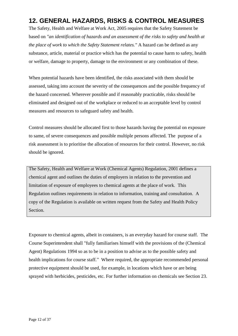# <span id="page-11-0"></span>**12. GENERAL HAZARDS, RISKS & CONTROL MEASURES**

The Safety, Health and Welfare at Work Act, 2005 requires that the Safety Statement be based on *"an identification of hazards and an assessment of the risks to safety and health at the place of work to which the Safety Statement relates."* A hazard can be defined as any substance, article, material or practice which has the potential to cause harm to safety, health or welfare, damage to property, damage to the environment or any combination of these.

When potential hazards have been identified, the risks associated with them should be assessed, taking into account the severity of the consequences and the possible frequency of the hazard concerned. Wherever possible and if reasonably practicable, risks should be eliminated and designed out of the workplace or reduced to an acceptable level by control measures and resources to safeguard safety and health.

Control measures should be allocated first to those hazards having the potential on exposure to same, of severe consequences and possible multiple persons affected. The purpose of a risk assessment is to prioritise the allocation of resources for their control. However, no risk should be ignored.

The Safety, Health and Welfare at Work (Chemical Agents) Regulation, 2001 defines a chemical agent and outlines the duties of employers in relation to the prevention and limitation of exposure of employees to chemical agents at the place of work. This Regulation outlines requirements in relation to information, training and consultation. A copy of the Regulation is available on written request from the Safety and Health Policy Section.

Exposure to chemical agents, albeit in containers, is an everyday hazard for course staff. The Course Superintendent shall "fully familiarises himself with the provisions of the (Chemical Agent) Regulations 1994 so as to be in a position to advise as to the possible safety and health implications for course staff." Where required, the appropriate recommended personal protective equipment should be used, for example, in locations which have or are being sprayed with herbicides, pesticides, etc. For further information on chemicals see Section 23.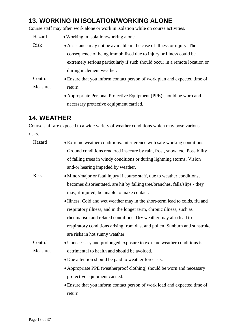# <span id="page-12-0"></span>**13. WORKING IN ISOLATION/WORKING ALONE**

Course staff may often work alone or work in isolation while on course activities.

| Hazard          | • Working in isolation/working alone.                                        |  |  |
|-----------------|------------------------------------------------------------------------------|--|--|
| <b>Risk</b>     | • Assistance may not be available in the case of illness or injury. The      |  |  |
|                 | consequence of being immobilised due to injury or illness could be           |  |  |
|                 | extremely serious particularly if such should occur in a remote location or  |  |  |
|                 | during inclement weather.                                                    |  |  |
| Control         | • Ensure that you inform contact person of work plan and expected time of    |  |  |
| <b>Measures</b> | return.                                                                      |  |  |
|                 | $\bullet$ Appropriate Personal Protective Equipment (PPE) should be worn and |  |  |

### Appropriate Personal Protective Equipment (PPE) should be worn and necessary protective equipment carried.

# <span id="page-12-1"></span>**14. WEATHER**

Course staff are exposed to a wide variety of weather conditions which may pose various risks.

| Hazard      | • Extreme weather conditions. Interference with safe working conditions.     |
|-------------|------------------------------------------------------------------------------|
|             | Ground conditions rendered insecure by rain, frost, snow, etc. Possibility   |
|             | of falling trees in windy conditions or during lightning storms. Vision      |
|             | and/or hearing impeded by weather.                                           |
| <b>Risk</b> | • Minor/major or fatal injury if course staff, due to weather conditions,    |
|             | becomes disorientated, are hit by falling tree/branches, falls/slips - they  |
|             | may, if injured, be unable to make contact.                                  |
|             | • Illness. Cold and wet weather may in the short-term lead to colds, flu and |
|             | respiratory illness, and in the longer term, chronic illness, such as        |
|             | rheumatism and related conditions. Dry weather may also lead to              |
|             | respiratory conditions arising from dust and pollen. Sunburn and sunstroke   |
|             | are risks in hot sunny weather.                                              |
| Control     | • Unnecessary and prolonged exposure to extreme weather conditions is        |
| Measures    | detrimental to health and should be avoided.                                 |
|             | • Due attention should be paid to weather forecasts.                         |
|             | • Appropriate PPE (weatherproof clothing) should be worn and necessary       |
|             | protective equipment carried.                                                |
|             | • Ensure that you inform contact person of work load and expected time of    |
|             | return.                                                                      |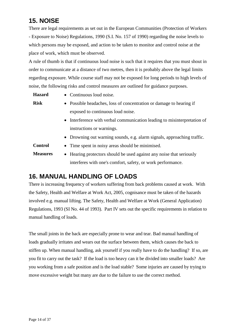# <span id="page-13-0"></span>**15. NOISE**

There are legal requirements as set out in the European Communities (Protection of Workers - Exposure to Noise) Regulations, 1990 (S.I. No. 157 of 1990) regarding the noise levels to which persons may be exposed, and action to be taken to monitor and control noise at the place of work, which must be observed.

A rule of thumb is that if continuous loud noise is such that it requires that you must shout in order to communicate at a distance of two metres, then it is probably above the legal limits regarding exposure. While course staff may not be exposed for long periods to high levels of noise, the following risks and control measures are outlined for guidance purposes.

- Hazard Continuous loud noise.
- **Risk** Possible headaches, loss of concentration or damage to hearing if exposed to continuous loud noise.
	- Interference with verbal communication leading to misinterpretation of instructions or warnings.
	- Drowning out warning sounds, e.g. alarm signals, approaching traffic.

**Control** 

- Time spent in noisy areas should be minimised.
- **Measures** • Hearing protectors should be used against any noise that seriously interferes with one's comfort, safety, or work performance.

# <span id="page-13-1"></span>**16. MANUAL HANDLING OF LOADS**

There is increasing frequency of workers suffering from back problems caused at work. With the Safety, Health and Welfare at Work Act, 2005, cognisance must be taken of the hazards involved e.g. manual lifting. The Safety, Health and Welfare at Work (General Application) Regulations, 1993 (SI No. 44 of 1993). Part IV sets out the specific requirements in relation to manual handling of loads.

The small joints in the back are especially prone to wear and tear. Bad manual handling of loads gradually irritates and wears out the surface between them, which causes the back to stiffen up. When manual handling, ask yourself if you really have to do the handling? If so, are you fit to carry out the task? If the load is too heavy can it be divided into smaller loads? Are you working from a safe position and is the load stable? Some injuries are caused by trying to move excessive weight but many are due to the failure to use the correct method.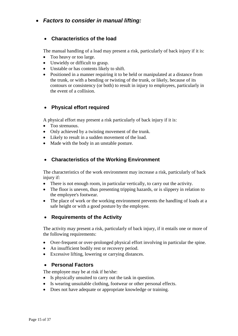### <span id="page-14-1"></span><span id="page-14-0"></span>*Factors to consider in manual lifting:*

#### **Characteristics of the load**

The manual handling of a load may present a risk, particularly of back injury if it is:

- Too heavy or too large.
- Unwieldy or difficult to grasp.
- Unstable or has contents likely to shift.
- Positioned in a manner requiring it to be held or manipulated at a distance from the trunk, or with a bending or twisting of the trunk, or likely, because of its contours or consistency (or both) to result in injury to employees, particularly in the event of a collision.

### <span id="page-14-2"></span>**Physical effort required**

A physical effort may present a risk particularly of back injury if it is:

- Too strenuous
- Only achieved by a twisting movement of the trunk.
- Likely to result in a sudden movement of the load.
- Made with the body in an unstable posture.

### <span id="page-14-3"></span>**Characteristics of the Working Environment**

The characteristics of the work environment may increase a risk, particularly of back injury if:

- There is not enough room, in particular vertically, to carry out the activity.
- The floor is uneven, thus presenting tripping hazards, or is slippery in relation to the employee's footwear.
- The place of work or the working environment prevents the handling of loads at a safe height or with a good posture by the employee.

#### <span id="page-14-4"></span>**Requirements of the Activity**

The activity may present a risk, particularly of back injury, if it entails one or more of the following requirements:

- Over-frequent or over-prolonged physical effort involving in particular the spine.
- An insufficient bodily rest or recovery period.
- <span id="page-14-5"></span>Excessive lifting, lowering or carrying distances.

#### **Personal Factors**

The employee may be at risk if he/she:

- Is physically unsuited to carry out the task in question.
- Is wearing unsuitable clothing, footwear or other personal effects.
- Does not have adequate or appropriate knowledge or training.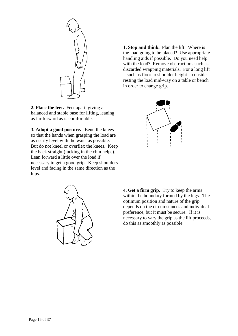

**2. Place the feet.** Feet apart, giving a balanced and stable base for lifting, leaning as far forward as is comfortable.

**3. Adopt a good posture.** Bend the knees so that the hands when grasping the load are as nearly level with the waist as possible. But do not kneel or overflex the knees. Keep the back straight (tucking in the chin helps). Lean forward a little over the load if necessary to get a good grip. Keep shoulders level and facing in the same direction as the hips.



**1. Stop and think.** Plan the lift. Where is the load going to be placed? Use appropriate handling aids if possible. Do you need help with the load? Remove obstructions such as discarded wrapping materials. For a long lift – such as floor to shoulder height – consider resting the load mid-way on a table or bench in order to change grip.



**4. Get a firm grip.** Try to keep the arms within the boundary formed by the legs. The optimum position and nature of the grip depends on the circumstances and individual preference, but it must be secure. If it is necessary to vary the grip as the lift proceeds, do this as smoothly as possible.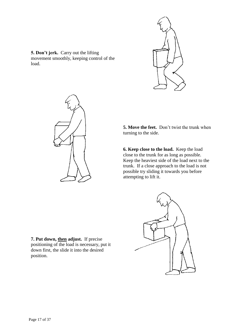





**5. Move the feet.** Don't twist the trunk when turning to the side.

**6. Keep close to the load.** Keep the load close to the trunk for as long as possible. Keep the heaviest side of the load next to the trunk. If a close approach to the load is not possible try sliding it towards you before attempting to lift it.

**7. Put down, then adjust.** If precise positioning of the load is necessary, put it down first, the slide it into the desired position.

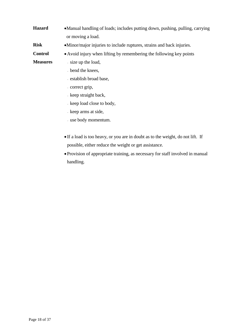**Hazard** • Manual handling of loads; includes putting down, pushing, pulling, carrying or moving a load.

**Risk** • Minor/major injuries to include ruptures, strains and back injuries.

**Control**  Avoid injury when lifting by remembering the following key points

**Measures**

- size up the load,
- bend the knees,
- establish broad base,
- correct grip,
- keep straight back,
- keep load close to body,
- keep arms at side,
- use body momentum.
- If a load is too heavy, or you are in doubt as to the weight, do not lift. If possible, either reduce the weight or get assistance.
- Provision of appropriate training, as necessary for staff involved in manual handling.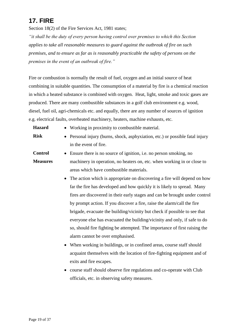# <span id="page-18-0"></span>**17. FIRE**

Section 18(2) of the Fire Services Act, 1981 states;

*"it shall be the duty of every person having control over premises to which this Section applies to take all reasonable measures to guard against the outbreak of fire on such premises, and to ensure as far as is reasonably practicable the safety of persons on the premises in the event of an outbreak of fire."*

Fire or combustion is normally the result of fuel, oxygen and an initial source of heat combining in suitable quantities. The consumption of a material by fire is a chemical reaction in which a heated substance is combined with oxygen. Heat, light, smoke and toxic gases are produced. There are many combustible substances in a golf club environment e.g. wood, diesel, fuel oil, agri-chemicals etc. and equally, there are any number of sources of ignition e.g. electrical faults, overheated machinery, heaters, machine exhausts, etc.

- **Hazard** Working in proximity to combustible material.
- **Risk** Personal injury (burns, shock, asphyxiation, etc.) or possible fatal injury in the event of fire.
- **Control Measures** Ensure there is no source of ignition, i.e. no person smoking, no machinery in operation, no heaters on, etc. when working in or close to areas which have combustible materials.
	- The action which is appropriate on discovering a fire will depend on how far the fire has developed and how quickly it is likely to spread. Many fires are discovered in their early stages and can be brought under control by prompt action. If you discover a fire, raise the alarm/call the fire brigade, evacuate the building/vicinity but check if possible to see that everyone else has evacuated the building/vicinity and only, if safe to do so, should fire fighting be attempted. The importance of first raising the alarm cannot be over emphasised.
	- When working in buildings, or in confined areas, course staff should acquaint themselves with the location of fire-fighting equipment and of exits and fire escapes.
	- course staff should observe fire regulations and co-operate with Club officials, etc. in observing safety measures.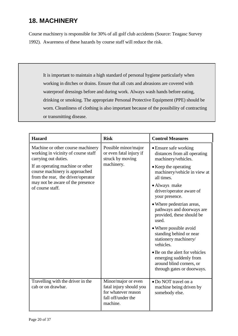# <span id="page-19-0"></span>**18. MACHINERY**

Course machinery is responsible for 30% of all golf club accidents (Source: Teagasc Survey 1992). Awareness of these hazards by course staff will reduce the risk.

It is important to maintain a high standard of personal hygiene particularly when working in ditches or drains. Ensure that all cuts and abrasions are covered with waterproof dressings before and during work. Always wash hands before eating, drinking or smoking. The appropriate Personal Protective Equipment (PPE) should be worn. Cleanliness of clothing is also important because of the possibility of contracting or transmitting disease.

| <b>Hazard</b>                                                                                                                                                    | <b>Risk</b>                                                                                             | <b>Control Measures</b>                                                                                            |
|------------------------------------------------------------------------------------------------------------------------------------------------------------------|---------------------------------------------------------------------------------------------------------|--------------------------------------------------------------------------------------------------------------------|
| Machine or other course machinery<br>working in vicinity of course staff<br>carrying out duties.                                                                 | Possible minor/major<br>or even fatal injury if<br>struck by moving                                     | • Ensure safe working<br>distances from all operating<br>machinery/vehicles.                                       |
| If an operating machine or other<br>course machinery is approached<br>from the rear, the driver/operator<br>may not be aware of the presence<br>of course staff. | machinery.                                                                                              | • Keep the operating<br>machinery/vehicle in view at<br>all times.                                                 |
|                                                                                                                                                                  |                                                                                                         | • Always make<br>driver/operator aware of<br>your presence.                                                        |
|                                                                                                                                                                  |                                                                                                         | • Where pedestrian areas,<br>pathways and doorways are<br>provided, these should be<br>used.                       |
|                                                                                                                                                                  |                                                                                                         | • Where possible avoid<br>standing behind or near<br>stationery machinery/<br>vehicles.                            |
|                                                                                                                                                                  |                                                                                                         | • Be on the alert for vehicles<br>emerging suddenly from<br>around blind corners, or<br>through gates or doorways. |
| Travelling with the driver in the<br>cab or on drawbar.                                                                                                          | Minor/major or even<br>fatal injury should you<br>for whatever reason<br>fall off/under the<br>machine. | • Do NOT travel on a<br>machine being driven by<br>somebody else.                                                  |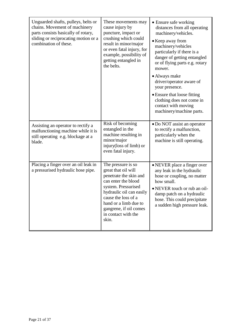| Unguarded shafts, pulleys, belts or<br>chains. Movement of machinery<br>parts consists basically of rotary,<br>sliding or reciprocating motion or a<br>combination of these. | These movements may<br>cause injury by<br>puncture, impact or<br>crushing which could<br>result in minor/major<br>or even fatal injury, for<br>example, possibility of<br>getting entangled in<br>the belts.                                            | • Ensure safe working<br>distances from all operating<br>machinery/vehicles.<br>• Keep away from<br>machinery/vehicles<br>particularly if there is a<br>danger of getting entangled<br>or of flying parts e.g. rotary<br>mower.<br>• Always make<br>driver/operator aware of |
|------------------------------------------------------------------------------------------------------------------------------------------------------------------------------|---------------------------------------------------------------------------------------------------------------------------------------------------------------------------------------------------------------------------------------------------------|------------------------------------------------------------------------------------------------------------------------------------------------------------------------------------------------------------------------------------------------------------------------------|
|                                                                                                                                                                              |                                                                                                                                                                                                                                                         | your presence.<br>• Ensure that loose fitting<br>clothing does not come in<br>contact with moving<br>machinery/machine parts.                                                                                                                                                |
| Assisting an operator to rectify a<br>malfunctioning machine while it is<br>still operating e.g. blockage at a<br>blade.                                                     | Risk of becoming<br>entangled in the<br>machine resulting in<br>minor/major<br>injury(loss of limb) or<br>even fatal injury.                                                                                                                            | · Do NOT assist an operator<br>to rectify a malfunction,<br>particularly when the<br>machine is still operating.                                                                                                                                                             |
| Placing a finger over an oil leak in<br>a pressurised hydraulic hose pipe.                                                                                                   | The pressure is so<br>great that oil will<br>penetrate the skin and<br>can enter the blood<br>system. Pressurised<br>hydraulic oil can easily<br>cause the loss of a<br>hand or a limb due to<br>gangrene, if oil comes<br>in contact with the<br>skin. | • NEVER place a finger over<br>any leak in the hydraulic<br>hose or coupling, no matter<br>how small.<br>• NEVER touch or rub an oil-<br>damp patch on a hydraulic<br>hose. This could precipitate<br>a sudden high pressure leak.                                           |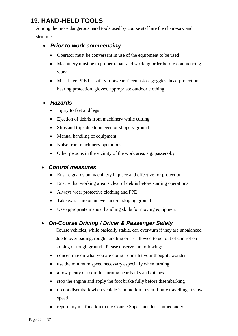# <span id="page-21-0"></span>**19. HAND-HELD TOOLS**

Among the more dangerous hand tools used by course staff are the chain-saw and strimmer.

### <span id="page-21-1"></span>*Prior to work commencing*

- Operator must be conversant in use of the equipment to be used
- Machinery must be in proper repair and working order before commencing work
- Must have PPE i.e. safety footwear, facemask or goggles, head protection, hearing protection, gloves, appropriate outdoor clothing
- <span id="page-21-2"></span> *Hazards*
	- Injury to feet and legs
	- Ejection of debris from machinery while cutting
	- Slips and trips due to uneven or slippery ground
	- Manual handling of equipment
	- Noise from machinery operations
	- Other persons in the vicinity of the work area, e.g. passers-by

### <span id="page-21-3"></span>*Control measures*

- Ensure guards on machinery in place and effective for protection
- Ensure that working area is clear of debris before starting operations
- Always wear protective clothing and PPE
- Take extra care on uneven and/or sloping ground
- Use appropriate manual handling skills for moving equipment

### <span id="page-21-4"></span>*On-Course Driving / Driver & Passenger Safety*

Course vehicles, while basically stable, can over-turn if they are unbalanced due to overloading, rough handling or are allowed to get out of control on sloping or rough ground. Please observe the following:

- concentrate on what you are doing don't let your thoughts wonder
- use the minimum speed necessary especially when turning
- allow plenty of room for turning near banks and ditches
- stop the engine and apply the foot brake fully before disembarking
- do not disembark when vehicle is in motion even if only travelling at slow speed
- report any malfunction to the Course Superintendent immediately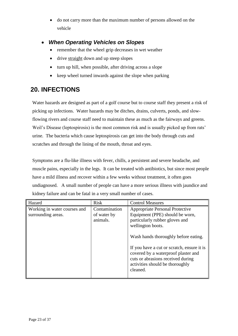do not carry more than the maximum number of persons allowed on the vehicle

### <span id="page-22-0"></span>*When Operating Vehicles on Slopes*

- remember that the wheel grip decreases in wet weather
- drive straight down and up steep slopes
- turn up hill, when possible, after driving across a slope
- keep wheel turned inwards against the slope when parking

### <span id="page-22-1"></span>**20. INFECTIONS**

Water hazards are designed as part of a golf course but to course staff they present a risk of picking up infections. Water hazards may be ditches, drains, culverts, ponds, and slowflowing rivers and course staff need to maintain these as much as the fairways and greens. Weil's Disease (leptospirosis) is the most common risk and is usually picked up from rats' urine. The bacteria which cause leptospirosis can get into the body through cuts and scratches and through the lining of the mouth, throat and eyes.

Symptoms are a flu-like illness with fever, chills, a persistent and severe headache, and muscle pains, especially in the legs. It can be treated with antibiotics, but since most people have a mild illness and recover within a few weeks without treatment, it often goes undiagnosed. A small number of people can have a more serious illness with jaundice and kidney failure and can be fatal in a very small number of cases.

| Hazard                                             | <b>Risk</b>                              | <b>Control Measures</b>                                                                                                                                                                                                                                                                                                                           |
|----------------------------------------------------|------------------------------------------|---------------------------------------------------------------------------------------------------------------------------------------------------------------------------------------------------------------------------------------------------------------------------------------------------------------------------------------------------|
| Working in water courses and<br>surrounding areas. | Contamination<br>of water by<br>animals. | <b>Appropriate Personal Protective</b><br>Equipment (PPE) should be worn,<br>particularly rubber gloves and<br>wellington boots.<br>Wash hands thoroughly before eating.<br>If you have a cut or scratch, ensure it is<br>covered by a waterproof plaster and<br>cuts or abrasions received during<br>activities should be thoroughly<br>cleaned. |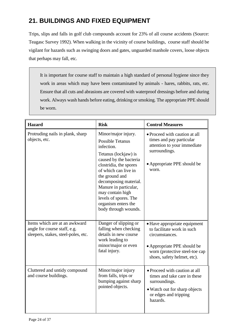# <span id="page-23-0"></span>**21. BUILDINGS AND FIXED EQUIPMENT**

Trips, slips and falls in golf club compounds account for 23% of all course accidents (Source: Teagasc Survey 1992). When walking in the vicinity of course buildings, course staff should be vigilant for hazards such as swinging doors and gates, unguarded manhole covers, loose objects that perhaps may fall, etc.

It is important for course staff to maintain a high standard of personal hygiene since they work in areas which may have been contaminated by animals - hares, rabbits, rats, etc. Ensure that all cuts and abrasions are covered with waterproof dressings before and during work. Always wash hands before eating, drinking or smoking. The appropriate PPE should be worn.

| <b>Hazard</b>                                                                                        | <b>Risk</b>                                                                                                                                                                                                                                                                                                                      | <b>Control Measures</b>                                                                                                                                                      |
|------------------------------------------------------------------------------------------------------|----------------------------------------------------------------------------------------------------------------------------------------------------------------------------------------------------------------------------------------------------------------------------------------------------------------------------------|------------------------------------------------------------------------------------------------------------------------------------------------------------------------------|
| Protruding nails in plank, sharp<br>objects, etc.                                                    | Minor/major injury.<br><b>Possible Tetanus</b><br>infection.<br>Tetanus (lockjaw) is<br>caused by the bacteria<br>clostridia, the spores<br>of which can live in<br>the ground and<br>decomposing material.<br>Manure in particular,<br>may contain high<br>levels of spores. The<br>organism enters the<br>body through wounds. | • Proceed with caution at all<br>times and pay particular<br>attention to your immediate<br>surroundings.<br>• Appropriate PPE should be<br>worn.                            |
| Items which are at an awkward<br>angle for course staff, e.g.<br>sleepers, stakes, steel-poles, etc. | Danger of slipping or<br>falling when checking<br>details in new course<br>work leading to<br>minor/major or even<br>fatal injury.                                                                                                                                                                                               | • Have appropriate equipment<br>to facilitate work in such<br>circumstances.<br>• Appropriate PPE should be<br>worn (protective steel-toe cap<br>shoes, safety helmet, etc). |
| Cluttered and untidy compound<br>and course buildings.                                               | Minor/major injury<br>from falls, trips or<br>bumping against sharp<br>pointed objects.                                                                                                                                                                                                                                          | • Proceed with caution at all<br>times and take care in these<br>surroundings.<br>• Watch out for sharp objects<br>or edges and tripping<br>hazards.                         |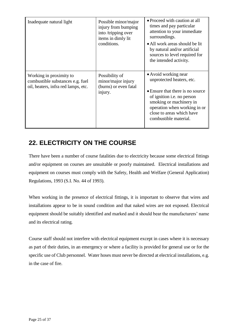| Inadequate natural light                                                                           | Possible minor/major<br>injury from bumping<br>into /tripping over<br>items in dimly lit<br>conditions. | • Proceed with caution at all<br>times and pay particular<br>attention to your immediate<br>surroundings.<br>• All work areas should be lit<br>by natural and/or artificial<br>sources to level required for<br>the intended activity.      |
|----------------------------------------------------------------------------------------------------|---------------------------------------------------------------------------------------------------------|---------------------------------------------------------------------------------------------------------------------------------------------------------------------------------------------------------------------------------------------|
| Working in proximity to<br>combustible substances e.g. fuel<br>oil, heaters, infra red lamps, etc. | Possibility of<br>minor/major injury<br>(burns) or even fatal<br>injury.                                | • Avoid working near<br>unprotected heaters, etc.<br>• Ensure that there is no source<br>of ignition <i>i.e.</i> no person<br>smoking or machinery in<br>operation when working in or<br>close to areas which have<br>combustible material. |

# <span id="page-24-0"></span>**22. ELECTRICITY ON THE COURSE**

There have been a number of course fatalities due to electricity because some electrical fittings and/or equipment on courses are unsuitable or poorly maintained. Electrical installations and equipment on courses must comply with the Safety, Health and Welfare (General Application) Regulations, 1993 (S.I. No. 44 of 1993).

When working in the presence of electrical fittings, it is important to observe that wires and installations appear to be in sound condition and that naked wires are not exposed. Electrical equipment should be suitably identified and marked and it should bear the manufacturers' name and its electrical rating.

Course staff should not interfere with electrical equipment except in cases where it is necessary as part of their duties, in an emergency or where a facility is provided for general use or for the specific use of Club personnel. Water hoses must never be directed at electrical installations, e.g. in the case of fire.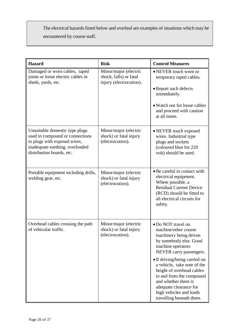The electrical hazards listed below and overleaf are examples of situations which may be encountered by course staff.

| <b>Hazard</b>                                                                                                                                                     | <b>Risk</b>                                                                | <b>Control Measures</b>                                                                                                                                                                                                                                                                                                                                                          |
|-------------------------------------------------------------------------------------------------------------------------------------------------------------------|----------------------------------------------------------------------------|----------------------------------------------------------------------------------------------------------------------------------------------------------------------------------------------------------------------------------------------------------------------------------------------------------------------------------------------------------------------------------|
| Damaged or worn cables, taped<br>joints or loose electric cables in<br>sheds, yards, etc.                                                                         | Minor/major (electric<br>shock, falls) or fatal<br>injury (electrocution). | • NEVER touch worn or<br>temporary taped cables.<br>• Report such defects<br>immediately.<br>• Watch out for loose cables<br>and proceed with caution<br>at all times.                                                                                                                                                                                                           |
| Unsuitable domestic type plugs<br>used in compound or connections<br>to plugs with exposed wires,<br>inadequate earthing, overloaded<br>distribution boards, etc. | Minor/major (electric<br>shock) or fatal injury<br>(electrocution).        | • NEVER touch exposed<br>wires. Industrial type<br>plugs and sockets<br>(coloured blue for 220<br>volt) should be used.                                                                                                                                                                                                                                                          |
| Portable equipment including drills,<br>welding gear, etc.                                                                                                        | Minor/major (electric<br>shock) or fatal injury<br>(electrocution).        | • Be careful in contact with<br>electrical equipment.<br>Where possible, a<br><b>Residual Current Device</b><br>(RCD) should be fitted to<br>all electrical circuits for<br>safety.                                                                                                                                                                                              |
| Overhead cables crossing the path<br>of vehicular traffic.                                                                                                        | Minor/major (electric<br>shock) or fatal injury<br>(electrocution).        | • Do NOT travel on<br>machine/other course<br>machinery being driven<br>by somebody else. Good<br>machine operators<br>NEVER carry passengers.<br>• If driving/being carried on<br>a vehicle, take note of the<br>height of overhead cables<br>to and from the compound<br>and whether there is<br>adequate clearance for<br>high vehicles and loads<br>travelling beneath them. |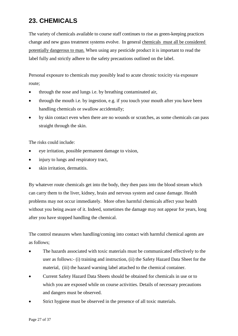# <span id="page-26-0"></span>**23. CHEMICALS**

The variety of chemicals available to course staff continues to rise as green-keeping practices change and new grass treatment systems evolve. In general chemicals must all be considered potentially dangerous to man. When using any pesticide product it is important to read the label fully and strictly adhere to the safety precautions outlined on the label.

Personal exposure to chemicals may possibly lead to acute chronic toxicity via exposure route;

- through the nose and lungs i.e. by breathing contaminated air,
- through the mouth i.e. by ingestion, e.g. if you touch your mouth after you have been handling chemicals or swallow accidentally;
- by skin contact even when there are no wounds or scratches, as some chemicals can pass straight through the skin.

The risks could include:

- eye irritation, possible permanent damage to vision,
- injury to lungs and respiratory tract,
- skin irritation, dermatitis.

By whatever route chemicals get into the body, they then pass into the blood stream which can carry them to the liver, kidney, brain and nervous system and cause damage. Health problems may not occur immediately. More often harmful chemicals affect your health without you being aware of it. Indeed, sometimes the damage may not appear for years, long after you have stopped handling the chemical.

The control measures when handling/coming into contact with harmful chemical agents are as follows;

- The hazards associated with toxic materials must be communicated effectively to the user as follows:- (i) training and instruction, (ii) the Safety Hazard Data Sheet for the material, (iii) the hazard warning label attached to the chemical container.
- Current Safety Hazard Data Sheets should be obtained for chemicals in use or to which you are exposed while on course activities. Details of necessary precautions and dangers must be observed.
- Strict hygiene must be observed in the presence of all toxic materials.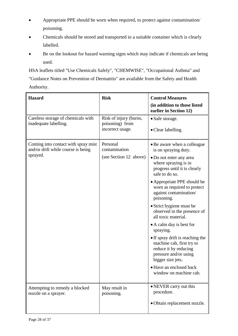- Appropriate PPE should be worn when required, to protect against contamination/ poisoning.
- Chemicals should be stored and transported in a suitable container which is clearly labelled.
- Be on the lookout for hazard warning signs which may indicate if chemicals are being used.

HSA leaflets titled "Use Chemicals Safely", "CHEMWISE", "Occupational Asthma" and "Guidance Notes on Prevention of Dermatitis" are available from the Safety and Health Authority.

| <b>Hazard</b>                                                             | <b>Risk</b>                               | <b>Control Measures</b>                                                                                                              |
|---------------------------------------------------------------------------|-------------------------------------------|--------------------------------------------------------------------------------------------------------------------------------------|
|                                                                           |                                           | (in addition to those listed<br>earlier in Section 12)                                                                               |
| Careless storage of chemicals with<br>inadequate labelling.               | Risk of injury (burns,<br>poisoning) from | • Safe storage.                                                                                                                      |
|                                                                           | incorrect usage.                          | • Clear labelling.                                                                                                                   |
| Coming into contact with spray mist<br>and/or drift while course is being | Personal<br>contamination                 | • Be aware when a colleague<br>is on spraying duty.                                                                                  |
| sprayed.                                                                  | (see Section 12 above)                    | • Do not enter any area<br>where spraying is in<br>progress until it is clearly<br>safe to do so.                                    |
|                                                                           |                                           | • Appropriate PPE should be<br>worn as required to protect<br>against contamination/<br>poisoning.                                   |
|                                                                           |                                           | • Strict hygiene must be<br>observed in the presence of<br>all toxic material.                                                       |
|                                                                           |                                           | • A calm day is best for<br>spraying.                                                                                                |
|                                                                           |                                           | • If spray drift is reaching the<br>machine cab, first try to<br>reduce it by reducing<br>pressure and/or using<br>bigger size jets. |
|                                                                           |                                           | • Have an enclosed back<br>window on machine cab.                                                                                    |
| Attempting to remedy a blocked<br>nozzle on a sprayer.                    | May result in<br>poisoning.               | • NEVER carry out this<br>procedure.                                                                                                 |
|                                                                           |                                           | • Obtain replacement nozzle.                                                                                                         |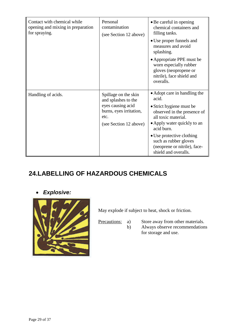| Contact with chemical while<br>opening and mixing in preparation<br>for spraying. | Personal<br>contamination<br>(see Section 12 above)                                                                           | • Be careful in opening<br>chemical containers and<br>filling tanks.<br>• Use proper funnels and<br>measures and avoid<br>splashing.<br>• Appropriate PPE must be<br>worn especially rubber<br>gloves (neopropene or<br>nitrile), face shield and<br>overalls.                     |
|-----------------------------------------------------------------------------------|-------------------------------------------------------------------------------------------------------------------------------|------------------------------------------------------------------------------------------------------------------------------------------------------------------------------------------------------------------------------------------------------------------------------------|
| Handling of acids.                                                                | Spillage on the skin<br>and splashes to the<br>eyes causing acid<br>burns, eyes irritation,<br>etc.<br>(see Section 12 above) | • Adopt care in handling the<br>acid.<br>• Strict hygiene must be<br>observed in the presence of<br>all toxic material.<br>• Apply water quickly to an<br>acid burn.<br>• Use protective clothing<br>such as rubber gloves<br>(neoprene or nitrile), face-<br>shield and overalls. |

# <span id="page-28-0"></span>**24.LABELLING OF HAZARDOUS CHEMICALS**

<span id="page-28-1"></span>*Explosive:*



May explode if subject to heat, shock or friction.

Precautions: a) Store away from other materials. b) Always observe recommendations for storage and use.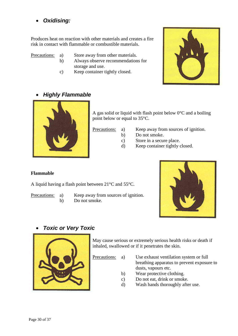<span id="page-29-0"></span>*Oxidising:*

Produces heat on reaction with other materials and creates a fire risk in contact with flammable or combustible materials.

- Precautions: a) Store away from other materials.
	- b) Always observe recommendations for storage and use.
	- c) Keep container tightly closed.



<span id="page-29-1"></span>*Highly Flammable*



A gas solid or liquid with flash point below  $0^{\circ}$ C and a boiling point below or equal to 35°C.

- Precautions: a) Keep away from sources of ignition.
	- b) Do not smoke.
	- c) Store in a secure place.
	- d) Keep container tightly closed.

#### **Flammable**

A liquid having a flash point between 21°C and 55°C.

- Precautions: a) Keep away from sources of ignition.
	- b) Do not smoke.



### <span id="page-29-2"></span>*Toxic or Very Toxic*



May cause serious or extremely serious health risks or death if inhaled, swallowed or if it penetrates the skin.

Precautions: a) Use exhaust ventilation system or full breathing apparatus to prevent exposure to dusts, vapours etc.

- b) Wear protective clothing.
- c) Do not eat, drink or smoke.
- d) Wash hands thoroughly after use.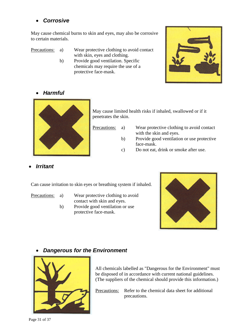### <span id="page-30-0"></span>*Corrosive*

May cause chemical burns to skin and eyes, may also be corrosive to certain materials.

Precautions: a) Wear protective clothing to avoid contact with skin, eyes and clothing.

b) Provide good ventilation. Specific chemicals may require the use of a protective face-mask.

<span id="page-30-1"></span>



May cause limited health risks if inhaled, swallowed or if it penetrates the skin.

- Precautions: a) Wear protective clothing to avoid contact with the skin and eyes.
	- b) Provide good ventilation or use protective face-mask.
	- c) Do not eat, drink or smoke after use.

<span id="page-30-2"></span>*Irritant*

Can cause irritation to skin eyes or breathing system if inhaled.

- Precautions: a) Wear protective clothing to avoid contact with skin and eyes.
	- b) Provide good ventilation or use protective face-mask.



### <span id="page-30-3"></span>*Dangerous for the Environment*



All chemicals labelled as "Dangerous for the Environment" must be disposed of in accordance with current national guidelines. (The suppliers of the chemical should provide this information.)

Precautions: Refer to the chemical data sheet for additional precautions.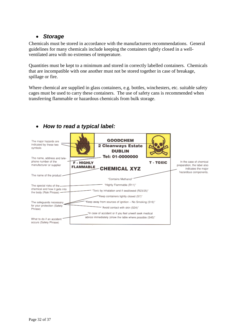### <span id="page-31-0"></span>*Storage*

Chemicals must be stored in accordance with the manufacturers recommendations. General guidelines for many chemicals include keeping the containers tightly closed in a wellventilated area with no extremes of temperature.

Quantities must be kept to a minimum and stored in correctly labelled containers. Chemicals that are incompatible with one another must not be stored together in case of breakage, spillage or fire.

Where chemical are supplied in glass containers, e.g. bottles, winchesters, etc. suitable safety cages must be used to carry these containers. The use of safety cans is recommended when transferring flammable or hazardous chemicals from bulk storage.



### <span id="page-31-1"></span>*How to read a typical label:*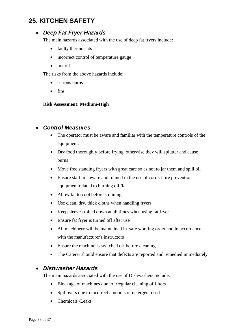# <span id="page-32-1"></span><span id="page-32-0"></span>**25. KITCHEN SAFETY**

### *Deep Fat Fryer Hazards*

The main hazards associated with the use of deep fat fryers include:

- faulty thermostats
- incorrect control of temperature gauge
- hot oil

The risks from the above hazards include:

- serious burns
- $\bullet$  fire

#### **Risk Assessment: Medium-High**

#### <span id="page-32-2"></span>*Control Measures*

- The operator must be aware and familiar with the temperature controls of the equipment.
- Dry food thoroughly before frying, otherwise they will splutter and cause burns
- Move free standing fryers with great care so as not to jar them and spill oil
- Ensure staff are aware and trained in the use of correct fire prevention equipment related to burning oil /fat
- Allow fat to cool before straining
- Use clean, dry, thick cloths when handling fryers
- Keep sleeves rolled down at all times when using fat fryer
- Ensure fat fryer is turned off after use
- All machinery will be maintained in safe working order and in accordance with the manufacturer's instructors
- Ensure the machine is switched off before cleaning.
- The Caterer should ensure that defects are reported and remedied immediately

#### <span id="page-32-3"></span>*Dishwasher Hazards*

The main hazards associated with the use of Dishwashers include:

- Blockage of machines due to irregular cleaning of filters
- Spillovers due to incorrect amounts of detergent used
- Chemicals /Leaks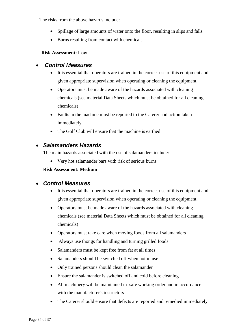The risks from the above hazards include:-

- Spillage of large amounts of water onto the floor, resulting in slips and falls
- Burns resulting from contact with chemicals

#### <span id="page-33-0"></span>**Risk Assessment: Low**

#### *Control Measures*

- It is essential that operators are trained in the correct use of this equipment and given appropriate supervision when operating or cleaning the equipment.
- Operators must be made aware of the hazards associated with cleaning chemicals (see material Data Sheets which must be obtained for all cleaning chemicals)
- Faults in the machine must be reported to the Caterer and action taken immediately.
- The Golf Club will ensure that the machine is earthed

### <span id="page-33-1"></span>*Salamanders Hazards*

The main hazards associated with the use of salamanders include:

Very hot salamander bars with risk of serious burns

#### **Risk Assessment: Medium**

#### <span id="page-33-2"></span>*Control Measures*

- It is essential that operators are trained in the correct use of this equipment and given appropriate supervision when operating or cleaning the equipment.
- Operators must be made aware of the hazards associated with cleaning chemicals (see material Data Sheets which must be obtained for all cleaning chemicals)
- Operators must take care when moving foods from all salamanders
- Always use thongs for handling and turning grilled foods
- Salamanders must be kept free from fat at all times
- Salamanders should be switched off when not in use
- Only trained persons should clean the salamander
- Ensure the salamander is switched off and cold before cleaning
- All machinery will be maintained in safe working order and in accordance with the manufacturer's instructors
- The Caterer should ensure that defects are reported and remedied immediately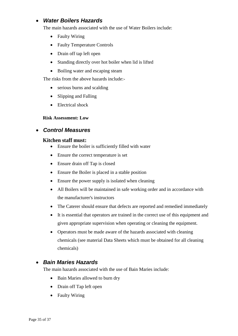### <span id="page-34-0"></span>*Water Boilers Hazards*

The main hazards associated with the use of Water Boilers include:

- Faulty Wiring
- Faulty Temperature Controls
- Drain off tap left open
- Standing directly over hot boiler when lid is lifted
- Boiling water and escaping steam

The risks from the above hazards include:-

- serious burns and scalding
- Slipping and Falling
- Electrical shock

#### **Risk Assessment: Low**

### <span id="page-34-1"></span>*Control Measures*

#### **Kitchen staff must:**

- Ensure the boiler is sufficiently filled with water
- Ensure the correct temperature is set
- Ensure drain off Tap is closed
- Ensure the Boiler is placed in a stable position
- Ensure the power supply is isolated when cleaning
- All Boilers will be maintained in safe working order and in accordance with the manufacturer's instructors
- The Caterer should ensure that defects are reported and remedied immediately
- It is essential that operators are trained in the correct use of this equipment and given appropriate supervision when operating or cleaning the equipment.
- Operators must be made aware of the hazards associated with cleaning chemicals (see material Data Sheets which must be obtained for all cleaning chemicals)

### <span id="page-34-2"></span>*Bain Maries Hazards*

The main hazards associated with the use of Bain Maries include:

- Bain Maries allowed to burn dry
- Drain off Tap left open
- Faulty Wiring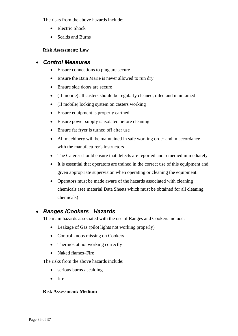The risks from the above hazards include:

- Electric Shock
- Scalds and Burns

#### **Risk Assessment: Low**

#### <span id="page-35-0"></span>*Control Measures*

- Ensure connections to plug are secure
- Ensure the Bain Marie is never allowed to run dry
- Ensure side doors are secure
- (If mobile) all casters should be regularly cleaned, oiled and maintained
- (If mobile) locking system on casters working
- Ensure equipment is properly earthed
- Ensure power supply is isolated before cleaning
- Ensure fat fryer is turned off after use
- All machinery will be maintained in safe working order and in accordance with the manufacturer's instructors
- The Caterer should ensure that defects are reported and remedied immediately
- It is essential that operators are trained in the correct use of this equipment and given appropriate supervision when operating or cleaning the equipment.
- Operators must be made aware of the hazards associated with cleaning chemicals (see material Data Sheets which must be obtained for all cleaning chemicals)

### <span id="page-35-1"></span>*Ranges /Cookers Hazards*

The main hazards associated with the use of Ranges and Cookers include:

- Leakage of Gas (pilot lights not working properly)
- Control knobs missing on Cookers
- Thermostat not working correctly
- Naked flames–Fire

The risks from the above hazards include:

- serious burns / scalding
- fire

#### **Risk Assessment: Medium**